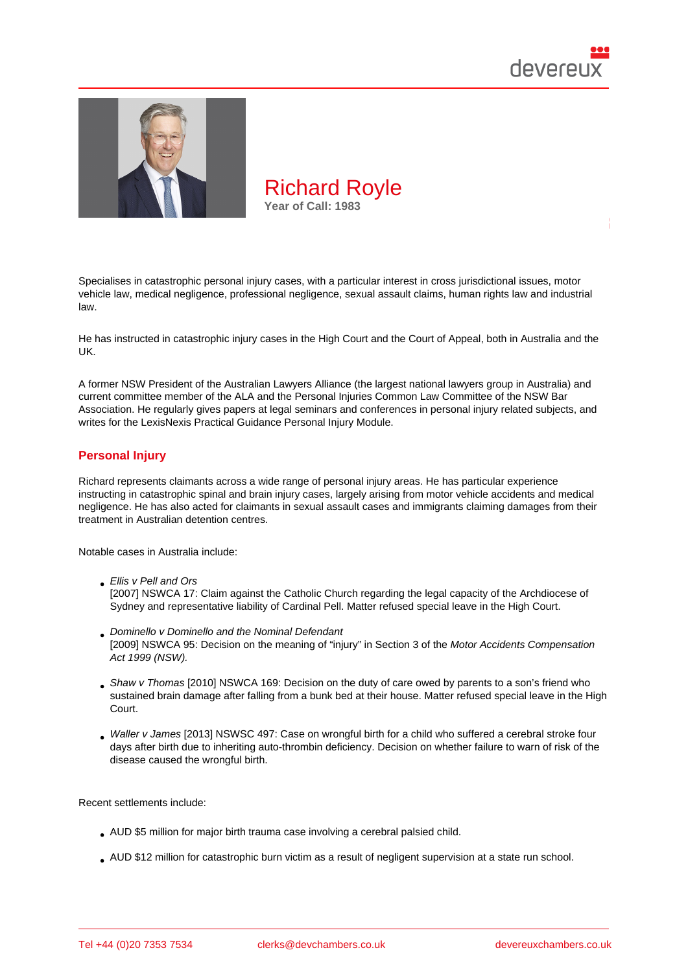

Specialises in catastrophic personal injury cases, with a particular interest in cross jurisdictional issues, motor vehicle law, medical negligence, professional negligence, sexual assault claims, human rights law and industrial law.

He has instructed in catastrophic injury cases in the High Court and the Court of Appeal, both in Australia and the UK.

A former NSW President of the Australian Lawyers Alliance (the largest national lawyers group in Australia) and current committee member of the ALA and the Personal Injuries Common Law Committee of the NSW Bar Association. He regularly gives papers at legal seminars and conferences in personal injury related subjects, and writes for the LexisNexis Practical Guidance Personal Injury Module.

# Personal Injury

Richard represents claimants across a wide range of personal injury areas. He has particular experience instructing in catastrophic spinal and brain injury cases, largely arising from motor vehicle accidents and medical negligence. He has also acted for claimants in sexual assault cases and immigrants claiming damages from their treatment in Australian detention centres.

Notable cases in Australia include:

- Ellis v Pell and Ors [2007] NSWCA 17: Claim against the Catholic Church regarding the legal capacity of the Archdiocese of Sydney and representative liability of Cardinal Pell. Matter refused special leave in the High Court.
- Dominello v Dominello and the Nominal Defendant [2009] NSWCA 95: Decision on the meaning of "injury" in Section 3 of the Motor Accidents Compensation Act 1999 (NSW).
- Shaw v Thomas [2010] NSWCA 169: Decision on the duty of care owed by parents to a son's friend who sustained brain damage after falling from a bunk bed at their house. Matter refused special leave in the High Court.
- Waller v James [2013] NSWSC 497: Case on wrongful birth for a child who suffered a cerebral stroke four days after birth due to inheriting auto-thrombin deficiency. Decision on whether failure to warn of risk of the disease caused the wrongful birth.

Recent settlements include:

- AUD \$5 million for major birth trauma case involving a cerebral palsied child.
- AUD \$12 million for catastrophic burn victim as a result of negligent supervision at a state run school.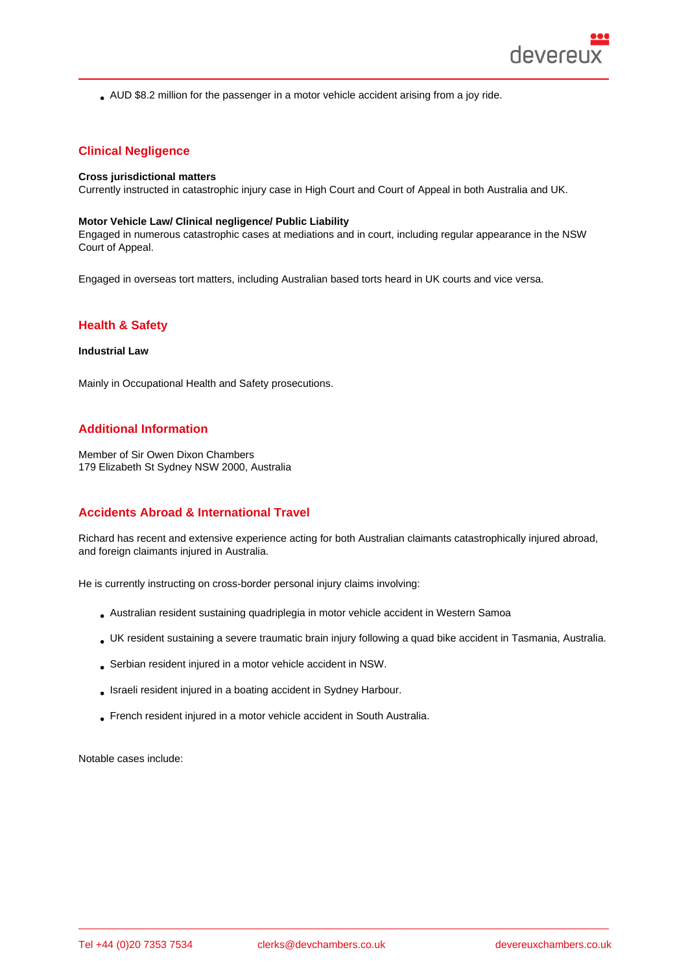AUD \$8.2 million for the passenger in a motor vehicle accident arising from a joy ride.

## Clinical Negligence

Cross jurisdictional matters Currently instructed in catastrophic injury case in High Court and Court of Appeal in both Australia and UK.

Motor Vehicle Law/ Clinical negligence/ Public Liability Engaged in numerous catastrophic cases at mediations and in court, including regular appearance in the NSW Court of Appeal.

Engaged in overseas tort matters, including Australian based torts heard in UK courts and vice versa.

## Health & Safety

Industrial Law

Mainly in Occupational Health and Safety prosecutions.

## Additional Information

Member of Sir Owen Dixon Chambers 179 Elizabeth St Sydney NSW 2000, Australia

## Accidents Abroad & International Travel

Richard has recent and extensive experience acting for both Australian claimants catastrophically injured abroad, and foreign claimants injured in Australia.

He is currently instructing on cross-border personal injury claims involving:

- Australian resident sustaining quadriplegia in motor vehicle accident in Western Samoa
- UK resident sustaining a severe traumatic brain injury following a quad bike accident in Tasmania, Australia.
- Serbian resident injured in a motor vehicle accident in NSW.
- Israeli resident injured in a boating accident in Sydney Harbour.
- French resident injured in a motor vehicle accident in South Australia.

Notable cases include: